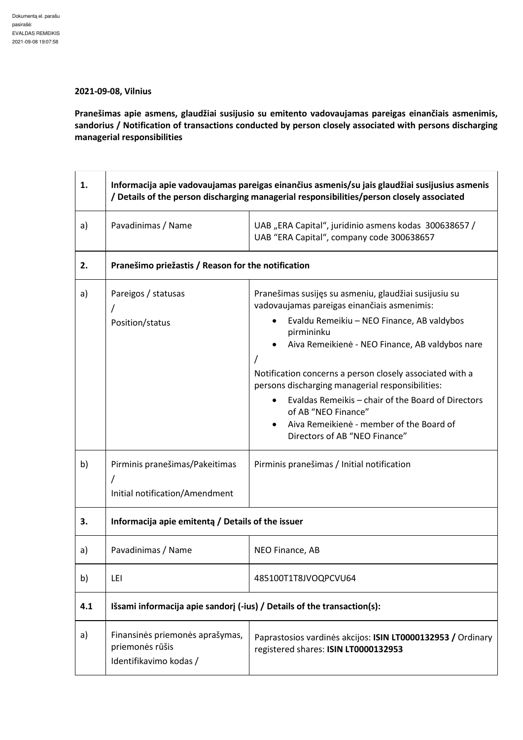## **2021-09-08, Vilnius**

**Pranešimas apie asmens, glaudžiai susijusio su emitento vadovaujamas pareigas einančiais asmenimis, sandorius / Notification of transactions conducted by person closely associated with persons discharging managerial responsibilities** 

| 1.  | Informacija apie vadovaujamas pareigas einančius asmenis/su jais glaudžiai susijusius asmenis<br>/ Details of the person discharging managerial responsibilities/person closely associated |                                                                                                                                                                                                                                                                                                                                                                                                                                                                                                            |  |
|-----|--------------------------------------------------------------------------------------------------------------------------------------------------------------------------------------------|------------------------------------------------------------------------------------------------------------------------------------------------------------------------------------------------------------------------------------------------------------------------------------------------------------------------------------------------------------------------------------------------------------------------------------------------------------------------------------------------------------|--|
| a)  | Pavadinimas / Name                                                                                                                                                                         | UAB "ERA Capital", juridinio asmens kodas 300638657 /<br>UAB "ERA Capital", company code 300638657                                                                                                                                                                                                                                                                                                                                                                                                         |  |
| 2.  | Pranešimo priežastis / Reason for the notification                                                                                                                                         |                                                                                                                                                                                                                                                                                                                                                                                                                                                                                                            |  |
| a)  | Pareigos / statusas<br>Position/status                                                                                                                                                     | Pranešimas susijęs su asmeniu, glaudžiai susijusiu su<br>vadovaujamas pareigas einančiais asmenimis:<br>Evaldu Remeikiu - NEO Finance, AB valdybos<br>pirmininku<br>Aiva Remeikienė - NEO Finance, AB valdybos nare<br>Notification concerns a person closely associated with a<br>persons discharging managerial responsibilities:<br>Evaldas Remeikis - chair of the Board of Directors<br>of AB "NEO Finance"<br>Aiva Remeikienė - member of the Board of<br>$\bullet$<br>Directors of AB "NEO Finance" |  |
| b)  | Pirminis pranešimas/Pakeitimas<br>Initial notification/Amendment                                                                                                                           | Pirminis pranešimas / Initial notification                                                                                                                                                                                                                                                                                                                                                                                                                                                                 |  |
| 3.  | Informacija apie emitenta / Details of the issuer                                                                                                                                          |                                                                                                                                                                                                                                                                                                                                                                                                                                                                                                            |  |
| a)  | Pavadinimas / Name                                                                                                                                                                         | NEO Finance, AB                                                                                                                                                                                                                                                                                                                                                                                                                                                                                            |  |
| b)  | LEI                                                                                                                                                                                        | 485100T1T8JVOQPCVU64                                                                                                                                                                                                                                                                                                                                                                                                                                                                                       |  |
| 4.1 | Išsami informacija apie sandorį (-ius) / Details of the transaction(s):                                                                                                                    |                                                                                                                                                                                                                                                                                                                                                                                                                                                                                                            |  |
| a)  | Finansinės priemonės aprašymas,<br>priemonės rūšis<br>Identifikavimo kodas /                                                                                                               | Paprastosios vardinės akcijos: ISIN LT0000132953 / Ordinary<br>registered shares: ISIN LT0000132953                                                                                                                                                                                                                                                                                                                                                                                                        |  |